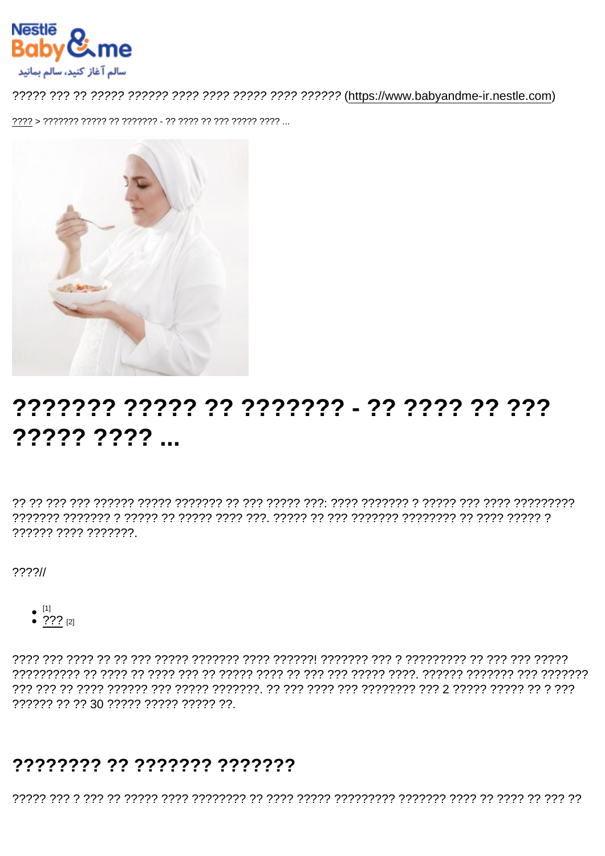# ??????? ????? ?? ??????? - ?? ???? ???? ????? ????

רְיִרְיִרְיִרְיָךְ רְיִרְיָ רְיִרְ רְיִרְיָרָ רְ $\gamma$ וֹלְיִרְיָרָ יִרְרָךְ רְיִרְיָרְ הְרָיֹרָךְ הְרָיִרְיָךְ הְרָיִרְיֹךָ הְרָיֹךָ הְר 777777 7777 7777777

 $777711$ 

- $^{[1]}$ <br>• ???  $^{[2]}$
- 

?????? ?? ?? 30 ????? ????? ????? ??.

#### ???????? ?? ??????? ???????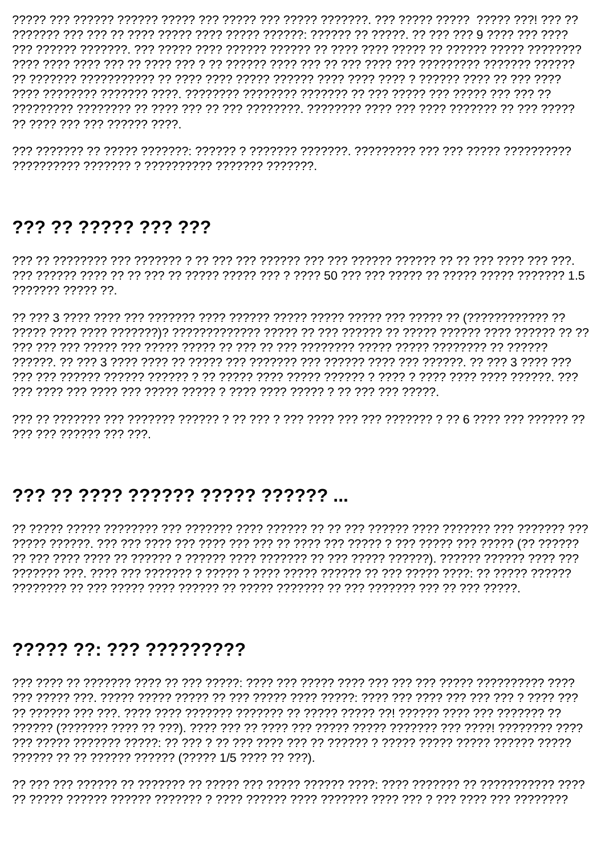רמרמר מרק מך הקדרתמרך מרק מרק מרחב המדרדת הקדרתמר מרך מרך מרך מרך מך הקדרתמר הקדרתיק 77 7777 777 777 777777 7777

## 

??????? ????? ??.

777 777 777777 777 777

### ??? ?? ???? ?????? ????? ?????? ...

, ירדרך ררך רך ררך ררך הרכבין ררך רך רך הרכבין ררך לך רבן הרכבין ררך ררך ררך רך הרכבין ל

### ????? ??: ??? ?????????

?????? ?? ?? ?????? ?????? (????? 1/5 ???? ?? ???).